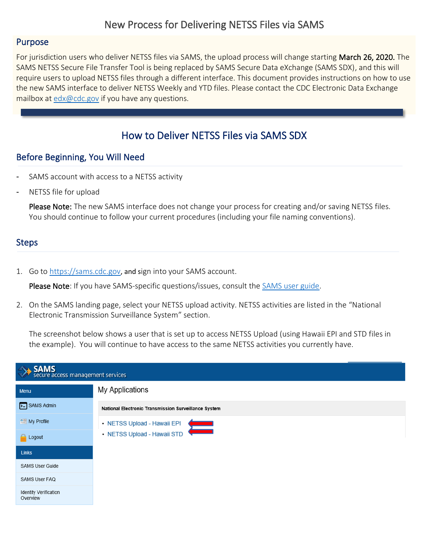## New Process for Delivering NETSS Files via SAMS

### Purpose

For jurisdiction users who deliver NETSS files via SAMS, the upload process will change starting March 26, 2020. The SAMS NETSS Secure File Transfer Tool is being replaced by SAMS Secure Data eXchange (SAMS SDX), and this will require users to upload NETSS files through a different interface. This document provides instructions on how to use the new SAMS interface to deliver NETSS Weekly and YTD files. Please contact the CDC Electronic Data Exchange mailbox at [edx@cdc.gov](mailto:edx@cdc.gov) if you have any questions.

# I How to Deliver NETSS Files via SAMS SDX

### Before Beginning, You Will Need

- SAMS account with access to a NETSS activity
- NETSS file for upload

Please Note: The new SAMS interface does not change your process for creating and/or saving NETSS files. You should continue to follow your current procedures (including your file naming conventions).

### **Steps**

1. Go to [https://sams.cdc.gov](https://sams.cdc.gov/), and sign into your SAMS account.

Please Note: If you have SAMS-specific questions/issues, consult the [SAMS user guide.](https://auth.cdc.gov/sams/SAMSUserGuide.pdf?disp=true)

2. On the SAMS landing page, select your NETSS upload activity. NETSS activities are listed in the "National Electronic Transmission Surveillance System" section.

The screenshot below shows a user that is set up to access NETSS Upload (using Hawaii EPI and STD files in the example). You will continue to have access to the same NETSS activities you currently have.

| SAMS<br>secure access management services |                                                      |  |  |
|-------------------------------------------|------------------------------------------------------|--|--|
| Menu                                      | My Applications                                      |  |  |
| >- SAMS Admin                             | National Electronic Transmission Surveillance System |  |  |
| $My$ Profile                              | • NETSS Upload - Hawaii EPI<br>$\equiv$              |  |  |
| <b>A</b> Logout                           | · NETSS Upload - Hawaii STD                          |  |  |
| <b>Links</b>                              |                                                      |  |  |
| <b>SAMS User Guide</b>                    |                                                      |  |  |
| SAMS User FAQ                             |                                                      |  |  |
| <b>Identity Verification</b><br>Overview  |                                                      |  |  |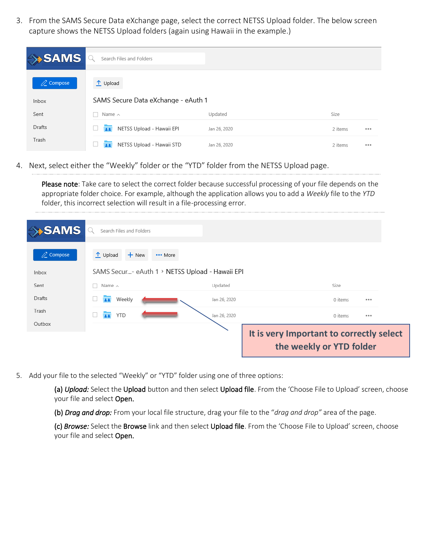3. From the SAMS Secure Data eXchange page, select the correct NETSS Upload folder. The below screen capture shows the NETSS Upload folders (again using Hawaii in the example.)

| $\rightarrow$ SAMS   | Search Files and Folders            |              |         |       |
|----------------------|-------------------------------------|--------------|---------|-------|
| $\mathbb{Z}$ Compose | $\uparrow$ Upload                   |              |         |       |
| Inbox                | SAMS Secure Data eXchange - eAuth 1 |              |         |       |
| Sent                 | Name $\wedge$                       | Updated      | Size    |       |
| Drafts               | NETSS Upload - Hawaii EPI<br>22     | Jan 26, 2020 | 2 items | 0.0.0 |
| Trash                | NETSS Upload - Hawaii STD<br>22     | Jan 26, 2020 | 2 items | 0.0.0 |

4. Next, select either the "Weekly" folder or the "YTD" folder from the NETSS Upload page.

Please note: Take care to select the correct folder because successful processing of your file depends on the appropriate folder choice. For example, although the application allows you to add a *Weekly* file to the *YTD* folder, this incorrect selection will result in a file-processing error.

| <b>SAMS</b>          | Search Files and Folders                        |              |                                                                      |  |
|----------------------|-------------------------------------------------|--------------|----------------------------------------------------------------------|--|
| $\mathbb{Z}$ Compose | $\uparrow$ Upload<br>$+$ New<br>*** More        |              |                                                                      |  |
| Inbox                | SAMS Secur- eAuth 1 > NETSS Upload - Hawaii EPI |              |                                                                      |  |
| Sent                 | Name $\wedge$                                   | Updated      | Size                                                                 |  |
| Drafts               | Weekly                                          | Jan 26, 2020 | 0 items<br>0.0.0                                                     |  |
| Trash                | <b>YTD</b><br>$\overline{12}$                   | Jan 26, 2020 | 0 items<br>0.0.0                                                     |  |
| Outbox               |                                                 |              |                                                                      |  |
|                      |                                                 |              | It is very Important to correctly select<br>the weekly or YTD folder |  |

5. Add your file to the selected "Weekly" or "YTD" folder using one of three options:

(a) *Upload:* Select the Upload button and then select Upload file. From the 'Choose File to Upload' screen, choose your file and select Open.

(b) *Drag and drop:* From your local file structure, drag your file to the "*drag and drop"* area of the page.

(c) *Browse:* Select the Browse link and then select Upload file. From the 'Choose File to Upload' screen, choose your file and select Open.